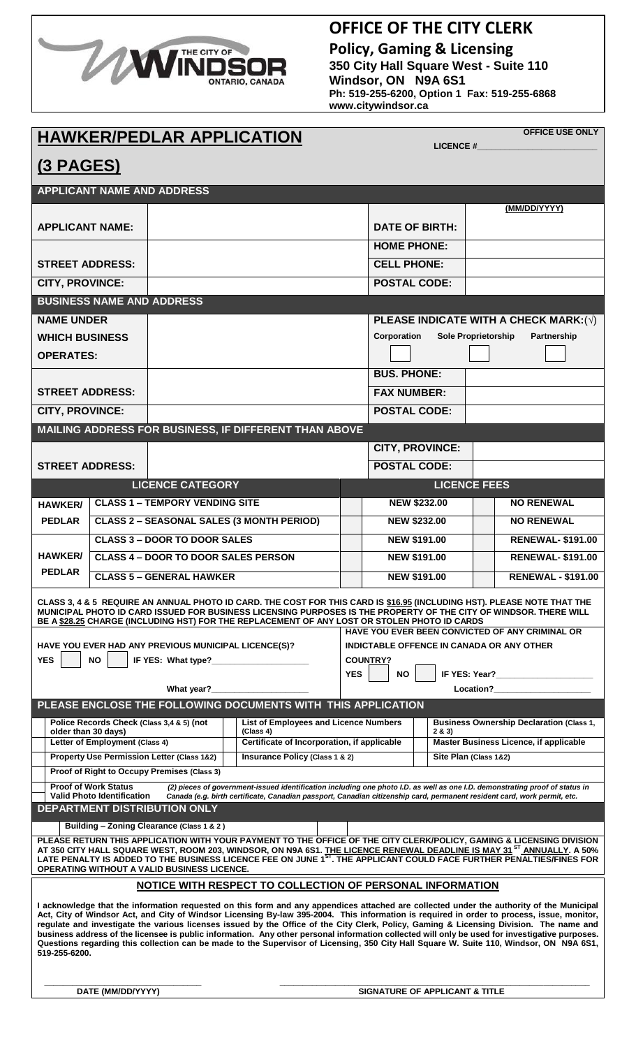

## **OFFICE OF THE CITY CLERK**

**Policy, Gaming & Licensing 350 City Hall Square West - Suite 110 Windsor, ON N9A 6S1 Ph: 519-255-6200, Option 1 Fax: 519-255-6868 www.citywindsor.ca**

# **HAWKER/PEDLAR APPLICATION**

**OFFICE USE ONLY**

|                                                                |                                   | IIAURENI EPEAR ALI EIVATIVIT                         |                                                                                                                                                                                                                                                                                                                                                                                                                                                                                                                                                                                                                                                                                                                                |                                               |                                                                                                          | <b>LICENCE#</b>                                 |  |                             |
|----------------------------------------------------------------|-----------------------------------|------------------------------------------------------|--------------------------------------------------------------------------------------------------------------------------------------------------------------------------------------------------------------------------------------------------------------------------------------------------------------------------------------------------------------------------------------------------------------------------------------------------------------------------------------------------------------------------------------------------------------------------------------------------------------------------------------------------------------------------------------------------------------------------------|-----------------------------------------------|----------------------------------------------------------------------------------------------------------|-------------------------------------------------|--|-----------------------------|
| <u>(3 PAGES)</u>                                               |                                   |                                                      |                                                                                                                                                                                                                                                                                                                                                                                                                                                                                                                                                                                                                                                                                                                                |                                               |                                                                                                          |                                                 |  |                             |
|                                                                |                                   | <b>APPLICANT NAME AND ADDRESS</b>                    |                                                                                                                                                                                                                                                                                                                                                                                                                                                                                                                                                                                                                                                                                                                                |                                               |                                                                                                          |                                                 |  |                             |
|                                                                |                                   |                                                      |                                                                                                                                                                                                                                                                                                                                                                                                                                                                                                                                                                                                                                                                                                                                |                                               |                                                                                                          |                                                 |  | (MM/DD/YYYY)                |
| <b>APPLICANT NAME:</b>                                         |                                   |                                                      |                                                                                                                                                                                                                                                                                                                                                                                                                                                                                                                                                                                                                                                                                                                                | <b>DATE OF BIRTH:</b>                         |                                                                                                          |                                                 |  |                             |
|                                                                |                                   |                                                      |                                                                                                                                                                                                                                                                                                                                                                                                                                                                                                                                                                                                                                                                                                                                |                                               | <b>HOME PHONE:</b>                                                                                       |                                                 |  |                             |
| <b>STREET ADDRESS:</b>                                         |                                   |                                                      |                                                                                                                                                                                                                                                                                                                                                                                                                                                                                                                                                                                                                                                                                                                                |                                               | <b>CELL PHONE:</b>                                                                                       |                                                 |  |                             |
| <b>CITY, PROVINCE:</b>                                         |                                   |                                                      |                                                                                                                                                                                                                                                                                                                                                                                                                                                                                                                                                                                                                                                                                                                                |                                               | <b>POSTAL CODE:</b>                                                                                      |                                                 |  |                             |
|                                                                | <b>BUSINESS NAME AND ADDRESS</b>  |                                                      |                                                                                                                                                                                                                                                                                                                                                                                                                                                                                                                                                                                                                                                                                                                                |                                               |                                                                                                          |                                                 |  |                             |
| <b>NAME UNDER</b>                                              |                                   |                                                      |                                                                                                                                                                                                                                                                                                                                                                                                                                                                                                                                                                                                                                                                                                                                |                                               |                                                                                                          |                                                 |  |                             |
| <b>WHICH BUSINESS</b>                                          |                                   |                                                      |                                                                                                                                                                                                                                                                                                                                                                                                                                                                                                                                                                                                                                                                                                                                |                                               | PLEASE INDICATE WITH A CHECK MARK: $(\sqrt)$<br><b>Sole Proprietorship</b><br>Corporation<br>Partnership |                                                 |  |                             |
| <b>OPERATES:</b>                                               |                                   |                                                      |                                                                                                                                                                                                                                                                                                                                                                                                                                                                                                                                                                                                                                                                                                                                |                                               |                                                                                                          |                                                 |  |                             |
|                                                                |                                   |                                                      |                                                                                                                                                                                                                                                                                                                                                                                                                                                                                                                                                                                                                                                                                                                                |                                               | <b>BUS. PHONE:</b>                                                                                       |                                                 |  |                             |
| <b>STREET ADDRESS:</b>                                         |                                   |                                                      |                                                                                                                                                                                                                                                                                                                                                                                                                                                                                                                                                                                                                                                                                                                                |                                               |                                                                                                          |                                                 |  |                             |
|                                                                |                                   |                                                      |                                                                                                                                                                                                                                                                                                                                                                                                                                                                                                                                                                                                                                                                                                                                |                                               | <b>FAX NUMBER:</b><br><b>POSTAL CODE:</b>                                                                |                                                 |  |                             |
| CITY, PROVINCE:                                                |                                   |                                                      |                                                                                                                                                                                                                                                                                                                                                                                                                                                                                                                                                                                                                                                                                                                                |                                               |                                                                                                          |                                                 |  |                             |
|                                                                |                                   |                                                      | MAILING ADDRESS FOR BUSINESS, IF DIFFERENT THAN ABOVE                                                                                                                                                                                                                                                                                                                                                                                                                                                                                                                                                                                                                                                                          |                                               |                                                                                                          |                                                 |  |                             |
|                                                                |                                   |                                                      |                                                                                                                                                                                                                                                                                                                                                                                                                                                                                                                                                                                                                                                                                                                                | <b>CITY, PROVINCE:</b><br><b>POSTAL CODE:</b> |                                                                                                          |                                                 |  |                             |
| <b>STREET ADDRESS:</b>                                         |                                   |                                                      |                                                                                                                                                                                                                                                                                                                                                                                                                                                                                                                                                                                                                                                                                                                                |                                               |                                                                                                          |                                                 |  |                             |
|                                                                |                                   | <b>LICENCE CATEGORY</b>                              |                                                                                                                                                                                                                                                                                                                                                                                                                                                                                                                                                                                                                                                                                                                                |                                               |                                                                                                          | <b>LICENCE FEES</b>                             |  |                             |
| <b>HAWKER/</b>                                                 |                                   | <b>CLASS 1 - TEMPORY VENDING SITE</b>                |                                                                                                                                                                                                                                                                                                                                                                                                                                                                                                                                                                                                                                                                                                                                |                                               | <b>NEW \$232.00</b>                                                                                      |                                                 |  | <b>NO RENEWAL</b>           |
| <b>PEDLAR</b>                                                  |                                   | <b>CLASS 2 - SEASONAL SALES (3 MONTH PERIOD)</b>     |                                                                                                                                                                                                                                                                                                                                                                                                                                                                                                                                                                                                                                                                                                                                |                                               | <b>NEW \$232.00</b>                                                                                      |                                                 |  | <b>NO RENEWAL</b>           |
|                                                                |                                   | <b>CLASS 3 - DOOR TO DOOR SALES</b>                  |                                                                                                                                                                                                                                                                                                                                                                                                                                                                                                                                                                                                                                                                                                                                |                                               | <b>NEW \$191.00</b>                                                                                      |                                                 |  | <b>RENEWAL-\$191.00</b>     |
| <b>HAWKER/</b>                                                 |                                   | <b>CLASS 4 - DOOR TO DOOR SALES PERSON</b>           |                                                                                                                                                                                                                                                                                                                                                                                                                                                                                                                                                                                                                                                                                                                                |                                               |                                                                                                          | <b>NEW \$191.00</b>                             |  | <b>RENEWAL- \$191.00</b>    |
| <b>PEDLAR</b>                                                  |                                   | <b>CLASS 5 - GENERAL HAWKER</b>                      |                                                                                                                                                                                                                                                                                                                                                                                                                                                                                                                                                                                                                                                                                                                                |                                               | <b>NEW \$191.00</b>                                                                                      |                                                 |  | <b>RENEWAL - \$191.00</b>   |
|                                                                |                                   |                                                      | CLASS 3, 4 & 5 REQUIRE AN ANNUAL PHOTO ID CARD. THE COST FOR THIS CARD IS \$16.95 (INCLUDING HST). PLEASE NOTE THAT THE<br>MUNICIPAL PHOTO ID CARD ISSUED FOR BUSINESS LICENSING PURPOSES IS THE PROPERTY OF THE CITY OF WINDSOR. THERE WILL<br>BE A \$28.25 CHARGE (INCLUDING HST) FOR THE REPLACEMENT OF ANY LOST OR STOLEN PHOTO ID CARDS                                                                                                                                                                                                                                                                                                                                                                                   |                                               |                                                                                                          |                                                 |  |                             |
|                                                                |                                   | HAVE YOU EVER HAD ANY PREVIOUS MUNICIPAL LICENCE(S)? |                                                                                                                                                                                                                                                                                                                                                                                                                                                                                                                                                                                                                                                                                                                                |                                               | HAVE YOU EVER BEEN CONVICTED OF ANY CRIMINAL OR<br>INDICTABLE OFFENCE IN CANADA OR ANY OTHER             |                                                 |  |                             |
| <b>YES</b>                                                     | <b>NO</b>                         | IF YES: What type?                                   |                                                                                                                                                                                                                                                                                                                                                                                                                                                                                                                                                                                                                                                                                                                                |                                               | <b>COUNTRY?</b>                                                                                          |                                                 |  |                             |
|                                                                |                                   |                                                      |                                                                                                                                                                                                                                                                                                                                                                                                                                                                                                                                                                                                                                                                                                                                |                                               | <b>YES</b><br><b>NO</b><br>IF YES: Year?                                                                 |                                                 |  |                             |
|                                                                |                                   | What year?                                           |                                                                                                                                                                                                                                                                                                                                                                                                                                                                                                                                                                                                                                                                                                                                |                                               |                                                                                                          |                                                 |  | Location? <b>Example 20</b> |
|                                                                |                                   |                                                      | PLEASE ENCLOSE THE FOLLOWING DOCUMENTS WITH THIS APPLICATION                                                                                                                                                                                                                                                                                                                                                                                                                                                                                                                                                                                                                                                                   |                                               |                                                                                                          |                                                 |  |                             |
|                                                                | older than 30 days)               | Police Records Check (Class 3,4 & 5) (not            | <b>List of Employees and Licence Numbers</b><br>(Class 4)                                                                                                                                                                                                                                                                                                                                                                                                                                                                                                                                                                                                                                                                      | 2 & 3                                         |                                                                                                          | <b>Business Ownership Declaration (Class 1,</b> |  |                             |
|                                                                | Letter of Employment (Class 4)    |                                                      | Certificate of Incorporation, if applicable                                                                                                                                                                                                                                                                                                                                                                                                                                                                                                                                                                                                                                                                                    |                                               |                                                                                                          | Master Business Licence, if applicable          |  |                             |
|                                                                |                                   | Property Use Permission Letter (Class 1&2)           | Insurance Policy (Class 1 & 2)                                                                                                                                                                                                                                                                                                                                                                                                                                                                                                                                                                                                                                                                                                 |                                               | Site Plan (Class 1&2)                                                                                    |                                                 |  |                             |
|                                                                | <b>Proof of Work Status</b>       | Proof of Right to Occupy Premises (Class 3)          | (2) pieces of government-issued identification including one photo I.D. as well as one I.D. demonstrating proof of status in                                                                                                                                                                                                                                                                                                                                                                                                                                                                                                                                                                                                   |                                               |                                                                                                          |                                                 |  |                             |
|                                                                | <b>Valid Photo Identification</b> |                                                      | Canada (e.g. birth certificate, Canadian passport, Canadian citizenship card, permanent resident card, work permit, etc.                                                                                                                                                                                                                                                                                                                                                                                                                                                                                                                                                                                                       |                                               |                                                                                                          |                                                 |  |                             |
|                                                                |                                   | DEPARTMENT DISTRIBUTION ONLY                         |                                                                                                                                                                                                                                                                                                                                                                                                                                                                                                                                                                                                                                                                                                                                |                                               |                                                                                                          |                                                 |  |                             |
|                                                                |                                   | Building - Zoning Clearance (Class 1 & 2)            | PLEASE RETURN THIS APPLICATION WITH YOUR PAYMENT TO THE OFFICE OF THE CITY CLERK/POLICY, GAMING & LICENSING DIVISION                                                                                                                                                                                                                                                                                                                                                                                                                                                                                                                                                                                                           |                                               |                                                                                                          |                                                 |  |                             |
|                                                                |                                   | OPERATING WITHOUT A VALID BUSINESS LICENCE.          | AT 350 CITY HALL SQUARE WEST, ROOM 203, WINDSOR, ON N9A 6S1. THE LICENCE RENEWAL DEADLINE IS MAY 31 <sup>ST</sup> ANNUALLY. A 50%<br>LATE PENALTY IS ADDED TO THE BUSINESS LICENCE FEE ON JUNE 1 <sup>8T</sup> . THE APPLICANT COULD FACE FURTHER PENALTIES/FINES FOR                                                                                                                                                                                                                                                                                                                                                                                                                                                          |                                               |                                                                                                          |                                                 |  |                             |
|                                                                |                                   |                                                      | NOTICE WITH RESPECT TO COLLECTION OF PERSONAL INFORMATION                                                                                                                                                                                                                                                                                                                                                                                                                                                                                                                                                                                                                                                                      |                                               |                                                                                                          |                                                 |  |                             |
| 519-255-6200.                                                  |                                   |                                                      | I acknowledge that the information requested on this form and any appendices attached are collected under the authority of the Municipal<br>Act, City of Windsor Act, and City of Windsor Licensing By-law 395-2004. This information is required in order to process, issue, monitor,<br>regulate and investigate the various licenses issued by the Office of the City Clerk, Policy, Gaming & Licensing Division. The name and<br>business address of the licensee is public information. Any other personal information collected will only be used for investigative purposes.<br>Questions regarding this collection can be made to the Supervisor of Licensing, 350 City Hall Square W. Suite 110, Windsor, ON N9A 6S1, |                                               |                                                                                                          |                                                 |  |                             |
| DATE (MM/DD/YYYY)<br><b>SIGNATURE OF APPLICANT &amp; TITLE</b> |                                   |                                                      |                                                                                                                                                                                                                                                                                                                                                                                                                                                                                                                                                                                                                                                                                                                                |                                               |                                                                                                          |                                                 |  |                             |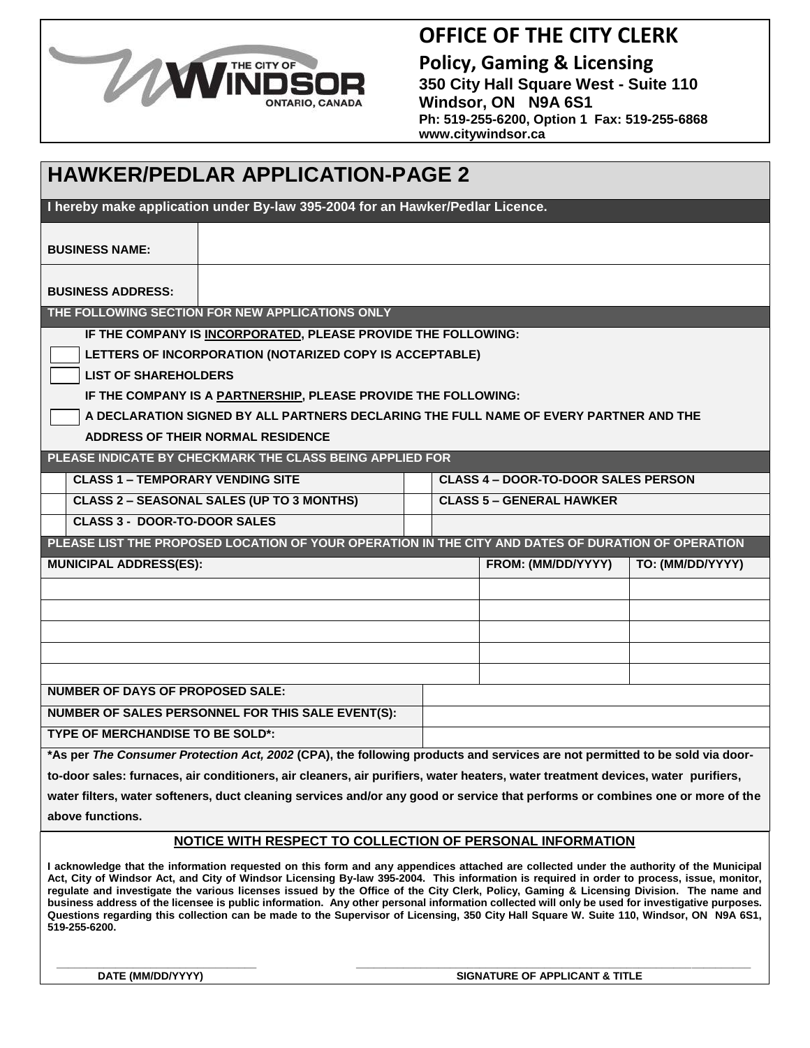

### **OFFICE OF THE CITY CLERK**

**Policy, Gaming & Licensing 350 City Hall Square West - Suite 110 Windsor, ON N9A 6S1 Ph: 519-255-6200, Option 1 Fax: 519-255-6868 www.citywindsor.ca**

| <b>HAWKER/PEDLAR APPLICATION-PAGE 2</b>                                                                                          |                                                                                                    |  |                                            |                  |  |  |  |  |  |
|----------------------------------------------------------------------------------------------------------------------------------|----------------------------------------------------------------------------------------------------|--|--------------------------------------------|------------------|--|--|--|--|--|
| I hereby make application under By-law 395-2004 for an Hawker/Pedlar Licence.                                                    |                                                                                                    |  |                                            |                  |  |  |  |  |  |
| <b>BUSINESS NAME:</b>                                                                                                            |                                                                                                    |  |                                            |                  |  |  |  |  |  |
| <b>BUSINESS ADDRESS:</b>                                                                                                         |                                                                                                    |  |                                            |                  |  |  |  |  |  |
| THE FOLLOWING SECTION FOR NEW APPLICATIONS ONLY                                                                                  |                                                                                                    |  |                                            |                  |  |  |  |  |  |
| IF THE COMPANY IS INCORPORATED, PLEASE PROVIDE THE FOLLOWING:                                                                    |                                                                                                    |  |                                            |                  |  |  |  |  |  |
| LETTERS OF INCORPORATION (NOTARIZED COPY IS ACCEPTABLE)                                                                          |                                                                                                    |  |                                            |                  |  |  |  |  |  |
| <b>LIST OF SHAREHOLDERS</b>                                                                                                      |                                                                                                    |  |                                            |                  |  |  |  |  |  |
| IF THE COMPANY IS A PARTNERSHIP, PLEASE PROVIDE THE FOLLOWING:                                                                   |                                                                                                    |  |                                            |                  |  |  |  |  |  |
| A DECLARATION SIGNED BY ALL PARTNERS DECLARING THE FULL NAME OF EVERY PARTNER AND THE                                            |                                                                                                    |  |                                            |                  |  |  |  |  |  |
| ADDRESS OF THEIR NORMAL RESIDENCE                                                                                                |                                                                                                    |  |                                            |                  |  |  |  |  |  |
|                                                                                                                                  | PLEASE INDICATE BY CHECKMARK THE CLASS BEING APPLIED FOR                                           |  |                                            |                  |  |  |  |  |  |
| <b>CLASS 1 - TEMPORARY VENDING SITE</b>                                                                                          |                                                                                                    |  | <b>CLASS 4 - DOOR-TO-DOOR SALES PERSON</b> |                  |  |  |  |  |  |
|                                                                                                                                  | <b>CLASS 2 - SEASONAL SALES (UP TO 3 MONTHS)</b>                                                   |  | <b>CLASS 5 - GENERAL HAWKER</b>            |                  |  |  |  |  |  |
| <b>CLASS 3 - DOOR-TO-DOOR SALES</b>                                                                                              |                                                                                                    |  |                                            |                  |  |  |  |  |  |
|                                                                                                                                  | PLEASE LIST THE PROPOSED LOCATION OF YOUR OPERATION IN THE CITY AND DATES OF DURATION OF OPERATION |  |                                            |                  |  |  |  |  |  |
| <b>MUNICIPAL ADDRESS(ES):</b>                                                                                                    |                                                                                                    |  | FROM: (MM/DD/YYYY)                         | TO: (MM/DD/YYYY) |  |  |  |  |  |
|                                                                                                                                  |                                                                                                    |  |                                            |                  |  |  |  |  |  |
|                                                                                                                                  |                                                                                                    |  |                                            |                  |  |  |  |  |  |
|                                                                                                                                  |                                                                                                    |  |                                            |                  |  |  |  |  |  |
|                                                                                                                                  |                                                                                                    |  |                                            |                  |  |  |  |  |  |
|                                                                                                                                  |                                                                                                    |  |                                            |                  |  |  |  |  |  |
| <b>NUMBER OF DAYS OF PROPOSED SALE:</b>                                                                                          |                                                                                                    |  |                                            |                  |  |  |  |  |  |
|                                                                                                                                  | NUMBER OF SALES PERSONNEL FOR THIS SALE EVENT(S):                                                  |  |                                            |                  |  |  |  |  |  |
| <b>TYPE OF MERCHANDISE TO BE SOLD*:</b>                                                                                          |                                                                                                    |  |                                            |                  |  |  |  |  |  |
| *As per The Consumer Protection Act, 2002 (CPA), the following products and services are not permitted to be sold via door-      |                                                                                                    |  |                                            |                  |  |  |  |  |  |
| to-door sales: furnaces, air conditioners, air cleaners, air purifiers, water heaters, water treatment devices, water purifiers, |                                                                                                    |  |                                            |                  |  |  |  |  |  |
| water filters, water softeners, duct cleaning services and/or any good or service that performs or combines one or more of the   |                                                                                                    |  |                                            |                  |  |  |  |  |  |
| above functions.                                                                                                                 |                                                                                                    |  |                                            |                  |  |  |  |  |  |
| NOTICE WITH RESPECT TO COLLECTION OF PERSONAL INFORMATION                                                                        |                                                                                                    |  |                                            |                  |  |  |  |  |  |
|                                                                                                                                  |                                                                                                    |  |                                            |                  |  |  |  |  |  |

**I acknowledge that the information requested on this form and any appendices attached are collected under the authority of the Municipal Act, City of Windsor Act, and City of Windsor Licensing By-law 395-2004. This information is required in order to process, issue, monitor, regulate and investigate the various licenses issued by the Office of the City Clerk, Policy, Gaming & Licensing Division. The name and business address of the licensee is public information. Any other personal information collected will only be used for investigative purposes. Questions regarding this collection can be made to the Supervisor of Licensing, 350 City Hall Square W. Suite 110, Windsor, ON N9A 6S1, 519-255-6200.**